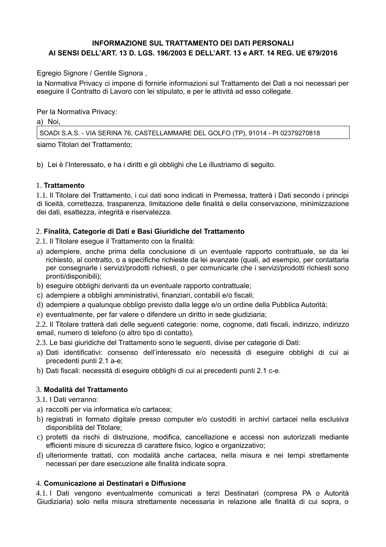# **INFORMAZIONE SUL TRATTAMENTO DEI DATI PERSONALI** AI SENSI DELL'ART. 13 D. LGS. 196/2003 E DELL'ART. 13 e ART. 14 REG. UE 679/2016

Egregio Signore / Gentile Signora,

la Normativa Privacy ci impone di fornirle informazioni sul Trattamento dei Dati a noi necessari per eseguire il Contratto di Lavoro con lei stipulato, e per le attività ad esso collegate.

Per la Normativa Privacy:

a) Noi,

SOADI S.A.S. - VIA SERINA 76, CASTELLAMMARE DEL GOLFO (TP), 91014 - PI 02379270818

siamo Titolari del Trattamento;

b) Lei è l'Interessato, e ha i diritti e gli obblighi che Le illustriamo di seguito.

#### 1. Trattamento

1.1. Il Titolare del Trattamento, i cui dati sono indicati in Premessa, tratterà i Dati secondo i principi di liceità, correttezza, trasparenza, limitazione delle finalità e della conservazione, minimizzazione dei dati, esattezza, integrità e riservatezza.

## 2. Finalità, Categorie di Dati e Basi Giuridiche del Trattamento

2.1. Il Titolare eseque il Trattamento con la finalità:

- a) adempiere, anche prima della conclusione di un eventuale rapporto contrattuale, se da lei richiesto, al contratto, o a specifiche richieste da lei avanzate (quali, ad esempio, per contattarla per consegnarle i servizi/prodotti richiesti, o per comunicarle che i servizi/prodotti richiesti sono pronti/disponibili);
- b) eseguire obblighi derivanti da un eventuale rapporto contrattuale;
- c) adempiere a obblighi amministrativi, finanziari, contabili e/o fiscali;
- d) adempiere a qualunque obbligo previsto dalla legge e/o un ordine della Pubblica Autorità;
- e) eventualmente, per far valere o difendere un diritto in sede giudiziaria;

2.2. Il Titolare tratterà dati delle seguenti categorie: nome, cognome, dati fiscali, indirizzo, indirizzo email, numero di telefono (o altro tipo di contatto).

2.3. Le basi giuridiche del Trattamento sono le seguenti, divise per categorie di Dati:

- a) Dati identificativi: consenso dell'interessato e/o necessità di eseguire obblighi di cui ai precedenti punti 2.1 a-e;
- b) Dati fiscali: necessità di eseguire obblighi di cui ai precedenti punti 2.1 c-e.

## 3. Modalità del Trattamento

3.1. I Dati verranno:

- a) raccolti per via informatica e/o cartacea;
- b) registrati in formato digitale presso computer e/o custoditi in archivi cartacei nella esclusiva disponibilità del Titolare;
- c) protetti da rischi di distruzione, modifica, cancellazione e accessi non autorizzati mediante efficienti misure di sicurezza di carattere fisico, logico e organizzativo;
- d) ulteriormente trattati, con modalità anche cartacea, nella misura e nei tempi strettamente necessari per dare esecuzione alle finalità indicate sopra.

## 4. Comunicazione ai Destinatari e Diffusione

4.1. I Dati vengono eventualmente comunicati a terzi Destinatari (compresa PA o Autorità Giudiziaria) solo nella misura strettamente necessaria in relazione alle finalità di cui sopra, o